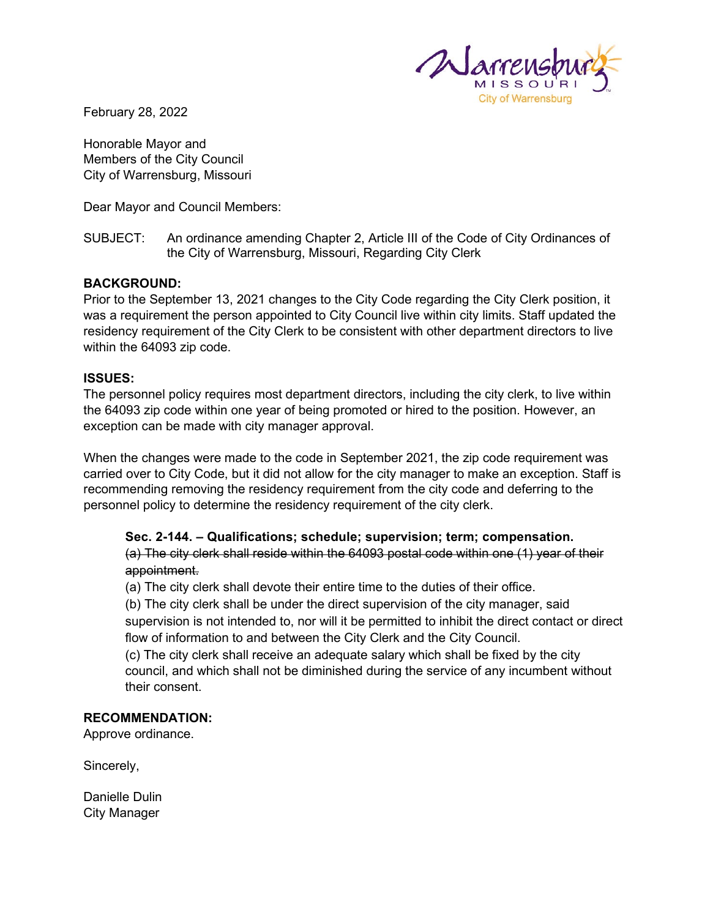

February 28, 2022

Honorable Mayor and Members of the City Council City of Warrensburg, Missouri

Dear Mayor and Council Members:

SUBJECT: An ordinance amending Chapter 2, Article III of the Code of City Ordinances of the City of Warrensburg, Missouri, Regarding City Clerk

## **BACKGROUND:**

Prior to the September 13, 2021 changes to the City Code regarding the City Clerk position, it was a requirement the person appointed to City Council live within city limits. Staff updated the residency requirement of the City Clerk to be consistent with other department directors to live within the 64093 zip code.

## **ISSUES:**

The personnel policy requires most department directors, including the city clerk, to live within the 64093 zip code within one year of being promoted or hired to the position. However, an exception can be made with city manager approval.

When the changes were made to the code in September 2021, the zip code requirement was carried over to City Code, but it did not allow for the city manager to make an exception. Staff is recommending removing the residency requirement from the city code and deferring to the personnel policy to determine the residency requirement of the city clerk.

## **Sec. 2-144. – Qualifications; schedule; supervision; term; compensation.** (a) The city clerk shall reside within the 64093 postal code within one (1) year of their appointment.

(a) The city clerk shall devote their entire time to the duties of their office.

(b) The city clerk shall be under the direct supervision of the city manager, said supervision is not intended to, nor will it be permitted to inhibit the direct contact or direct flow of information to and between the City Clerk and the City Council.

(c) The city clerk shall receive an adequate salary which shall be fixed by the city council, and which shall not be diminished during the service of any incumbent without their consent.

## **RECOMMENDATION:**

Approve ordinance.

Sincerely,

Danielle Dulin City Manager